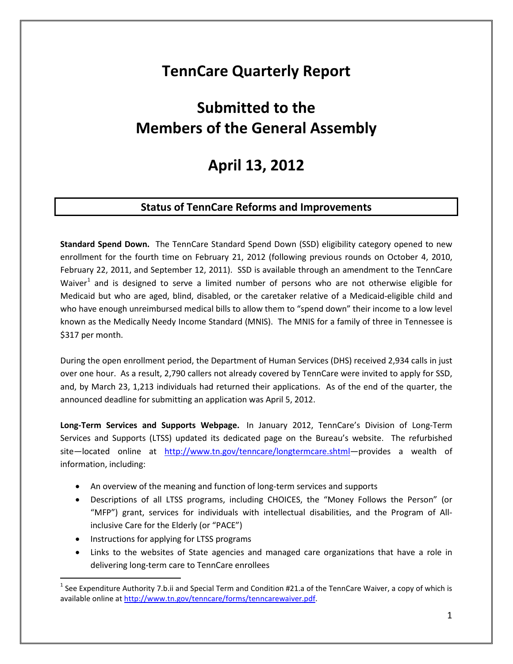## **TennCare Quarterly Report**

# **Submitted to the Members of the General Assembly**

## **April 13, 2012**

## **Status of TennCare Reforms and Improvements**

**Standard Spend Down.** The TennCare Standard Spend Down (SSD) eligibility category opened to new enrollment for the fourth time on February 21, 2012 (following previous rounds on October 4, 2010, February 22, 2011, and September 12, 2011). SSD is available through an amendment to the TennCare Waiver<sup>[1](#page-0-0)</sup> and is designed to serve a limited number of persons who are not otherwise eligible for Medicaid but who are aged, blind, disabled, or the caretaker relative of a Medicaid-eligible child and who have enough unreimbursed medical bills to allow them to "spend down" their income to a low level known as the Medically Needy Income Standard (MNIS). The MNIS for a family of three in Tennessee is \$317 per month.

During the open enrollment period, the Department of Human Services (DHS) received 2,934 calls in just over one hour. As a result, 2,790 callers not already covered by TennCare were invited to apply for SSD, and, by March 23, 1,213 individuals had returned their applications. As of the end of the quarter, the announced deadline for submitting an application was April 5, 2012.

**Long-Term Services and Supports Webpage.** In January 2012, TennCare's Division of Long-Term Services and Supports (LTSS) updated its dedicated page on the Bureau's website. The refurbished site-located online at http://www.tn.gov/tenncare/longtermcare.shtml-provides a wealth of information, including:

- An overview of the meaning and function of long-term services and supports
- Descriptions of all LTSS programs, including CHOICES, the "Money Follows the Person" (or "MFP") grant, services for individuals with intellectual disabilities, and the Program of Allinclusive Care for the Elderly (or "PACE")
- Instructions for applying for LTSS programs
- Links to the websites of State agencies and managed care organizations that have a role in delivering long-term care to TennCare enrollees

<span id="page-0-0"></span> $1$  See Expenditure Authority 7.b.ii and Special Term and Condition #21.a of the TennCare Waiver, a copy of which is available online at [http://www.tn.gov/tenncare/forms/tenncarewaiver.pdf.](http://www.tn.gov/tenncare/forms/tenncarewaiver.pdf)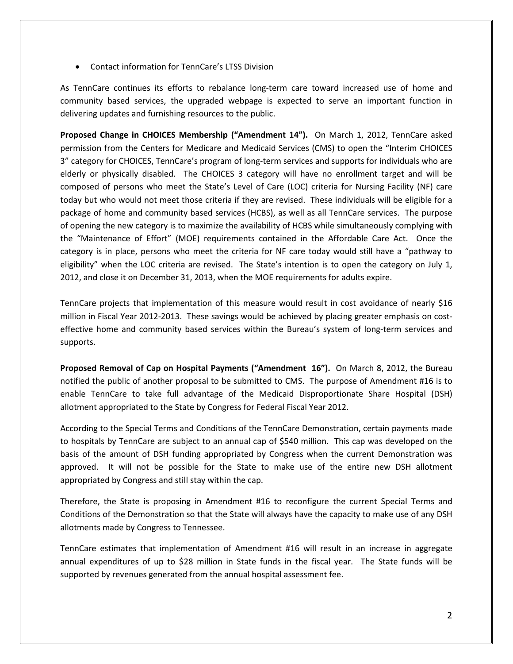• Contact information for TennCare's LTSS Division

As TennCare continues its efforts to rebalance long-term care toward increased use of home and community based services, the upgraded webpage is expected to serve an important function in delivering updates and furnishing resources to the public.

**Proposed Change in CHOICES Membership ("Amendment 14").** On March 1, 2012, TennCare asked permission from the Centers for Medicare and Medicaid Services (CMS) to open the "Interim CHOICES 3" category for CHOICES, TennCare's program of long-term services and supports for individuals who are elderly or physically disabled. The CHOICES 3 category will have no enrollment target and will be composed of persons who meet the State's Level of Care (LOC) criteria for Nursing Facility (NF) care today but who would not meet those criteria if they are revised. These individuals will be eligible for a package of home and community based services (HCBS), as well as all TennCare services. The purpose of opening the new category is to maximize the availability of HCBS while simultaneously complying with the "Maintenance of Effort" (MOE) requirements contained in the Affordable Care Act. Once the category is in place, persons who meet the criteria for NF care today would still have a "pathway to eligibility" when the LOC criteria are revised. The State's intention is to open the category on July 1, 2012, and close it on December 31, 2013, when the MOE requirements for adults expire.

TennCare projects that implementation of this measure would result in cost avoidance of nearly \$16 million in Fiscal Year 2012-2013. These savings would be achieved by placing greater emphasis on costeffective home and community based services within the Bureau's system of long-term services and supports.

**Proposed Removal of Cap on Hospital Payments ("Amendment 16").** On March 8, 2012, the Bureau notified the public of another proposal to be submitted to CMS. The purpose of Amendment #16 is to enable TennCare to take full advantage of the Medicaid Disproportionate Share Hospital (DSH) allotment appropriated to the State by Congress for Federal Fiscal Year 2012.

According to the Special Terms and Conditions of the TennCare Demonstration, certain payments made to hospitals by TennCare are subject to an annual cap of \$540 million. This cap was developed on the basis of the amount of DSH funding appropriated by Congress when the current Demonstration was approved. It will not be possible for the State to make use of the entire new DSH allotment appropriated by Congress and still stay within the cap.

Therefore, the State is proposing in Amendment #16 to reconfigure the current Special Terms and Conditions of the Demonstration so that the State will always have the capacity to make use of any DSH allotments made by Congress to Tennessee.

TennCare estimates that implementation of Amendment #16 will result in an increase in aggregate annual expenditures of up to \$28 million in State funds in the fiscal year. The State funds will be supported by revenues generated from the annual hospital assessment fee.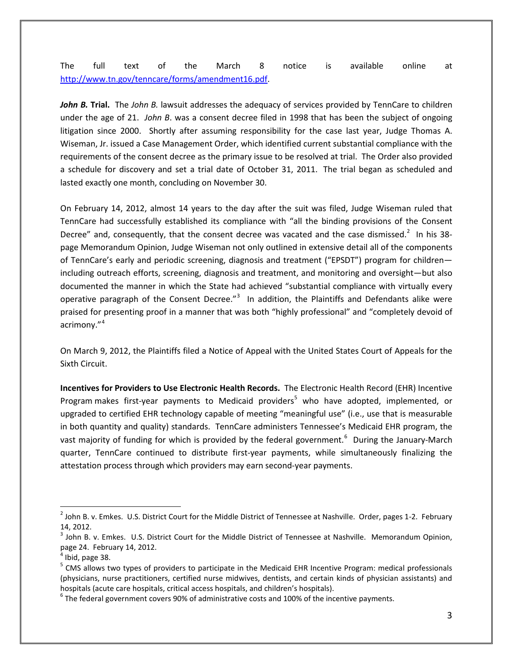The full text of the March 8 notice is available online at [http://www.tn.gov/tenncare/forms/amendment16.pdf.](http://www.tn.gov/tenncare/forms/amendment16.pdf)

*John B.* **Trial.** The *John B.* lawsuit addresses the adequacy of services provided by TennCare to children under the age of 21. *John B*. was a consent decree filed in 1998 that has been the subject of ongoing litigation since 2000. Shortly after assuming responsibility for the case last year, Judge Thomas A. Wiseman, Jr. issued a Case Management Order, which identified current substantial compliance with the requirements of the consent decree as the primary issue to be resolved at trial. The Order also provided a schedule for discovery and set a trial date of October 31, 2011. The trial began as scheduled and lasted exactly one month, concluding on November 30.

On February 14, 2012, almost 14 years to the day after the suit was filed, Judge Wiseman ruled that TennCare had successfully established its compliance with "all the binding provisions of the Consent Decree" and, consequently, that the consent decree was vacated and the case dismissed.<sup>[2](#page-2-0)</sup> In his 38page Memorandum Opinion, Judge Wiseman not only outlined in extensive detail all of the components of TennCare's early and periodic screening, diagnosis and treatment ("EPSDT") program for children including outreach efforts, screening, diagnosis and treatment, and monitoring and oversight—but also documented the manner in which the State had achieved "substantial compliance with virtually every operative paragraph of the Consent Decree."<sup>[3](#page-2-1)</sup> In addition, the Plaintiffs and Defendants alike were praised for presenting proof in a manner that was both "highly professional" and "completely devoid of acrimony."[4](#page-2-2)

On March 9, 2012, the Plaintiffs filed a Notice of Appeal with the United States Court of Appeals for the Sixth Circuit.

**Incentives for Providers to Use Electronic Health Records.** The Electronic Health Record (EHR) Incentive Program makes first-year payments to Medicaid providers<sup>[5](#page-2-3)</sup> who have adopted, implemented, or upgraded to certified EHR technology capable of meeting "meaningful use" (i.e., use that is measurable in both quantity and quality) standards. TennCare administers Tennessee's Medicaid EHR program, the vast majority of funding for which is provided by the federal government.<sup>[6](#page-2-4)</sup> During the January-March quarter, TennCare continued to distribute first-year payments, while simultaneously finalizing the attestation process through which providers may earn second-year payments.

<span id="page-2-0"></span> $2$  John B. v. Emkes. U.S. District Court for the Middle District of Tennessee at Nashville. Order, pages 1-2. February 14, 2012.

<span id="page-2-1"></span><sup>&</sup>lt;sup>3</sup> John B. v. Emkes. U.S. District Court for the Middle District of Tennessee at Nashville. Memorandum Opinion, page 24. February 14, 2012.<br><sup>4</sup> Ibid, page 38.

<span id="page-2-2"></span>

<span id="page-2-3"></span><sup>5</sup> CMS allows two types of providers to participate in the Medicaid EHR Incentive Program: medical professionals (physicians, nurse practitioners, certified nurse midwives, dentists, and certain kinds of physician assistants) and hospitals (acute care hospitals, critical access hospitals, and children's hospitals).<br><sup>6</sup> The federal government covers 90% of administrative costs and 100% of the incentive payments.

<span id="page-2-4"></span>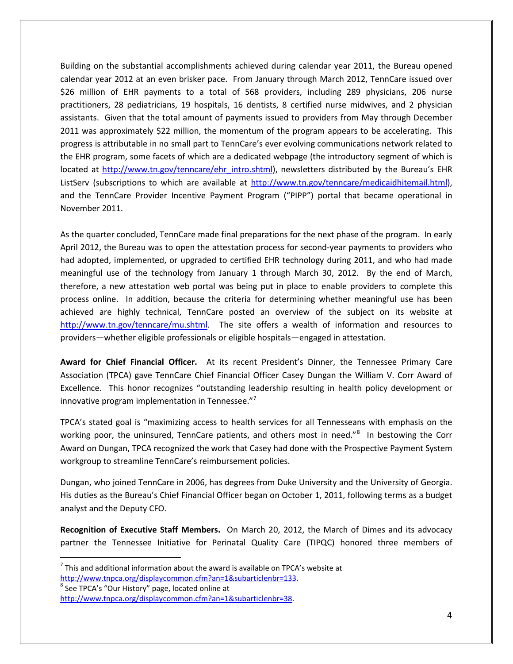Building on the substantial accomplishments achieved during calendar year 2011, the Bureau opened calendar year 2012 at an even brisker pace. From January through March 2012, TennCare issued over \$26 million of EHR payments to a total of 568 providers, including 289 physicians, 206 nurse practitioners, 28 pediatricians, 19 hospitals, 16 dentists, 8 certified nurse midwives, and 2 physician assistants. Given that the total amount of payments issued to providers from May through December 2011 was approximately \$22 million, the momentum of the program appears to be accelerating. This progress is attributable in no small part to TennCare's ever evolving communications network related to the EHR program, some facets of which are a dedicated webpage (the introductory segment of which is located at [http://www.tn.gov/tenncare/ehr\\_intro.shtml\)](http://www.tn.gov/tenncare/ehr_intro.shtml), newsletters distributed by the Bureau's EHR ListServ (subscriptions to which are available at [http://www.tn.gov/tenncare/medicaidhitemail.html\)](http://www.tn.gov/tenncare/medicaidhitemail.html), and the TennCare Provider Incentive Payment Program ("PIPP") portal that became operational in November 2011.

As the quarter concluded, TennCare made final preparations for the next phase of the program. In early April 2012, the Bureau was to open the attestation process for second-year payments to providers who had adopted, implemented, or upgraded to certified EHR technology during 2011, and who had made meaningful use of the technology from January 1 through March 30, 2012. By the end of March, therefore, a new attestation web portal was being put in place to enable providers to complete this process online. In addition, because the criteria for determining whether meaningful use has been achieved are highly technical, TennCare posted an overview of the subject on its website at [http://www.tn.gov/tenncare/mu.shtml.](http://www.tn.gov/tenncare/mu.shtml) The site offers a wealth of information and resources to providers—whether eligible professionals or eligible hospitals—engaged in attestation.

**Award for Chief Financial Officer.** At its recent President's Dinner, the Tennessee Primary Care Association (TPCA) gave TennCare Chief Financial Officer Casey Dungan the William V. Corr Award of Excellence. This honor recognizes "outstanding leadership resulting in health policy development or innovative program implementation in Tennessee."[7](#page-3-0)

TPCA's stated goal is "maximizing access to health services for all Tennesseans with emphasis on the working poor, the uninsured, TennCare patients, and others most in need."<sup>[8](#page-3-1)</sup> In bestowing the Corr Award on Dungan, TPCA recognized the work that Casey had done with the Prospective Payment System workgroup to streamline TennCare's reimbursement policies.

Dungan, who joined TennCare in 2006, has degrees from Duke University and the University of Georgia. His duties as the Bureau's Chief Financial Officer began on October 1, 2011, following terms as a budget analyst and the Deputy CFO.

**Recognition of Executive Staff Members.** On March 20, 2012, the March of Dimes and its advocacy partner the Tennessee Initiative for Perinatal Quality Care (TIPQC) honored three members of

<span id="page-3-1"></span>

<span id="page-3-0"></span> $<sup>7</sup>$  This and additional information about the award is available on TPCA's website at</sup> [http://www.tnpca.org/displaycommon.cfm?an=1&subarticlenbr=133.](http://www.tnpca.org/displaycommon.cfm?an=1&subarticlenbr=133)<br><sup>8</sup> See TPCA's "Our History" page, located online at

[http://www.tnpca.org/displaycommon.cfm?an=1&subarticlenbr=38.](http://www.tnpca.org/displaycommon.cfm?an=1&subarticlenbr=38)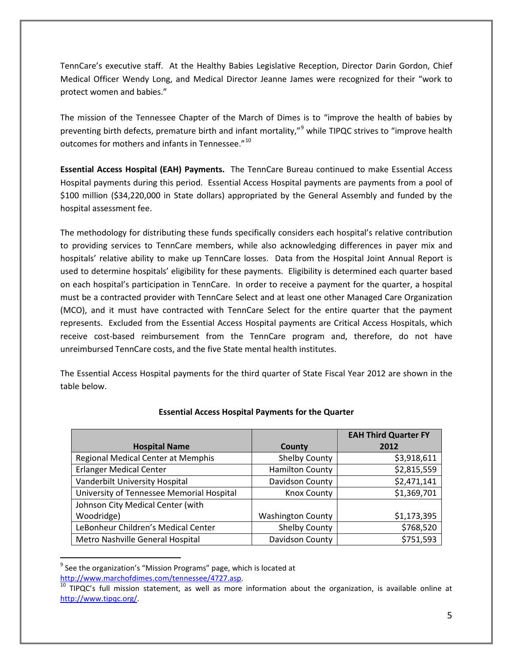TennCare's executive staff. At the Healthy Babies Legislative Reception, Director Darin Gordon, Chief Medical Officer Wendy Long, and Medical Director Jeanne James were recognized for their "work to protect women and babies."

The mission of the Tennessee Chapter of the March of Dimes is to "improve the health of babies by preventing birth defects, premature birth and infant mortality,"<sup>[9](#page-4-0)</sup> while TIPQC strives to "improve health outcomes for mothers and infants in Tennessee."<sup>[10](#page-4-1)</sup>

**Essential Access Hospital (EAH) Payments.** The TennCare Bureau continued to make Essential Access Hospital payments during this period. Essential Access Hospital payments are payments from a pool of \$100 million (\$34,220,000 in State dollars) appropriated by the General Assembly and funded by the hospital assessment fee.

The methodology for distributing these funds specifically considers each hospital's relative contribution to providing services to TennCare members, while also acknowledging differences in payer mix and hospitals' relative ability to make up TennCare losses. Data from the Hospital Joint Annual Report is used to determine hospitals' eligibility for these payments. Eligibility is determined each quarter based on each hospital's participation in TennCare. In order to receive a payment for the quarter, a hospital must be a contracted provider with TennCare Select and at least one other Managed Care Organization (MCO), and it must have contracted with TennCare Select for the entire quarter that the payment represents. Excluded from the Essential Access Hospital payments are Critical Access Hospitals, which receive cost-based reimbursement from the TennCare program and, therefore, do not have unreimbursed TennCare costs, and the five State mental health institutes.

The Essential Access Hospital payments for the third quarter of State Fiscal Year 2012 are shown in the table below.

|                                           |                          | <b>EAH Third Quarter FY</b> |
|-------------------------------------------|--------------------------|-----------------------------|
| <b>Hospital Name</b>                      | County                   | 2012                        |
| Regional Medical Center at Memphis        | Shelby County            | \$3,918,611                 |
| <b>Erlanger Medical Center</b>            | <b>Hamilton County</b>   | \$2,815,559                 |
| Vanderbilt University Hospital            | Davidson County          | \$2,471,141                 |
| University of Tennessee Memorial Hospital | <b>Knox County</b>       | \$1,369,701                 |
| Johnson City Medical Center (with         |                          |                             |
| Woodridge)                                | <b>Washington County</b> | \$1,173,395                 |
| LeBonheur Children's Medical Center       | <b>Shelby County</b>     | \$768,520                   |
| Metro Nashville General Hospital          | Davidson County          | \$751,593                   |

### **Essential Access Hospital Payments for the Quarter**

<span id="page-4-0"></span><sup>&</sup>lt;sup>9</sup> See the organization's "Mission Programs" page, which is located at

<span id="page-4-1"></span>[http://www.marchofdimes.com/tennessee/4727.asp.](http://www.marchofdimes.com/tennessee/4727.asp)<br><sup>10</sup> TIPQC's full mission statement, as well as more information about the organization, is available online at [http://www.tipqc.org/.](http://www.tipqc.org/)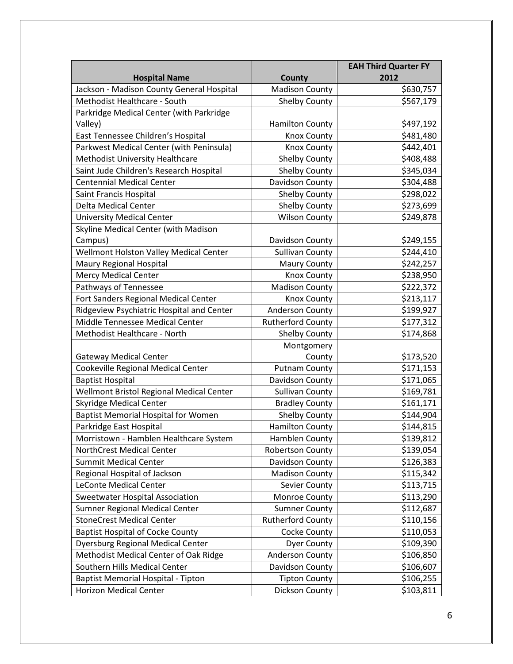|                                            |                          | <b>EAH Third Quarter FY</b> |
|--------------------------------------------|--------------------------|-----------------------------|
| <b>Hospital Name</b>                       | County                   | 2012                        |
| Jackson - Madison County General Hospital  | <b>Madison County</b>    | \$630,757                   |
| Methodist Healthcare - South               | <b>Shelby County</b>     | \$567,179                   |
| Parkridge Medical Center (with Parkridge   |                          |                             |
| Valley)                                    | <b>Hamilton County</b>   | \$497,192                   |
| East Tennessee Children's Hospital         | <b>Knox County</b>       | \$481,480                   |
| Parkwest Medical Center (with Peninsula)   | <b>Knox County</b>       | \$442,401                   |
| Methodist University Healthcare            | <b>Shelby County</b>     | \$408,488                   |
| Saint Jude Children's Research Hospital    | <b>Shelby County</b>     | \$345,034                   |
| <b>Centennial Medical Center</b>           | Davidson County          | \$304,488                   |
| Saint Francis Hospital                     | <b>Shelby County</b>     | \$298,022                   |
| <b>Delta Medical Center</b>                | <b>Shelby County</b>     | \$273,699                   |
| <b>University Medical Center</b>           | <b>Wilson County</b>     | \$249,878                   |
| Skyline Medical Center (with Madison       |                          |                             |
| Campus)                                    | Davidson County          | \$249,155                   |
| Wellmont Holston Valley Medical Center     | <b>Sullivan County</b>   | \$244,410                   |
| Maury Regional Hospital                    | <b>Maury County</b>      | \$242,257                   |
| <b>Mercy Medical Center</b>                | Knox County              | \$238,950                   |
| Pathways of Tennessee                      | <b>Madison County</b>    | \$222,372                   |
| Fort Sanders Regional Medical Center       | <b>Knox County</b>       | \$213,117                   |
| Ridgeview Psychiatric Hospital and Center  | <b>Anderson County</b>   | \$199,927                   |
| Middle Tennessee Medical Center            | <b>Rutherford County</b> | \$177,312                   |
| Methodist Healthcare - North               | <b>Shelby County</b>     | \$174,868                   |
|                                            | Montgomery               |                             |
| <b>Gateway Medical Center</b>              | County                   | \$173,520                   |
| Cookeville Regional Medical Center         | <b>Putnam County</b>     | \$171,153                   |
| <b>Baptist Hospital</b>                    | Davidson County          | \$171,065                   |
| Wellmont Bristol Regional Medical Center   | <b>Sullivan County</b>   | \$169,781                   |
| <b>Skyridge Medical Center</b>             | <b>Bradley County</b>    | \$161,171                   |
| <b>Baptist Memorial Hospital for Women</b> | <b>Shelby County</b>     | \$144,904                   |
| Parkridge East Hospital                    | <b>Hamilton County</b>   | \$144,815                   |
| Morristown - Hamblen Healthcare System     | Hamblen County           | \$139,812                   |
| NorthCrest Medical Center                  | <b>Robertson County</b>  | \$139,054                   |
| <b>Summit Medical Center</b>               | Davidson County          | \$126,383                   |
| Regional Hospital of Jackson               | <b>Madison County</b>    | \$115,342                   |
| LeConte Medical Center                     | Sevier County            | \$113,715                   |
| <b>Sweetwater Hospital Association</b>     | Monroe County            | \$113,290                   |
| Sumner Regional Medical Center             | <b>Sumner County</b>     | \$112,687                   |
| <b>StoneCrest Medical Center</b>           | <b>Rutherford County</b> | \$110,156                   |
| <b>Baptist Hospital of Cocke County</b>    | Cocke County             | \$110,053                   |
| <b>Dyersburg Regional Medical Center</b>   | <b>Dyer County</b>       | \$109,390                   |
| Methodist Medical Center of Oak Ridge      | Anderson County          | \$106,850                   |
| Southern Hills Medical Center              | Davidson County          | \$106,607                   |
| Baptist Memorial Hospital - Tipton         | <b>Tipton County</b>     | \$106,255                   |
| <b>Horizon Medical Center</b>              | Dickson County           | \$103,811                   |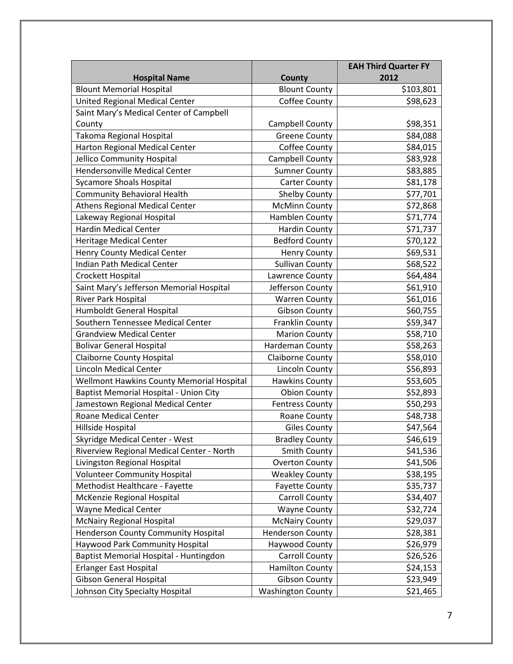|                                           |                          | <b>EAH Third Quarter FY</b> |
|-------------------------------------------|--------------------------|-----------------------------|
| <b>Hospital Name</b>                      | <b>County</b>            | 2012                        |
| <b>Blount Memorial Hospital</b>           | <b>Blount County</b>     | \$103,801                   |
| <b>United Regional Medical Center</b>     | Coffee County            | \$98,623                    |
| Saint Mary's Medical Center of Campbell   |                          |                             |
| County                                    | Campbell County          | \$98,351                    |
| Takoma Regional Hospital                  | <b>Greene County</b>     | \$84,088                    |
| Harton Regional Medical Center            | Coffee County            | \$84,015                    |
| Jellico Community Hospital                | Campbell County          | \$83,928                    |
| <b>Hendersonville Medical Center</b>      | <b>Sumner County</b>     | \$83,885                    |
| <b>Sycamore Shoals Hospital</b>           | <b>Carter County</b>     | \$81,178                    |
| <b>Community Behavioral Health</b>        | <b>Shelby County</b>     | \$77,701                    |
| <b>Athens Regional Medical Center</b>     | <b>McMinn County</b>     | \$72,868                    |
| Lakeway Regional Hospital                 | Hamblen County           | \$71,774                    |
| <b>Hardin Medical Center</b>              | <b>Hardin County</b>     | \$71,737                    |
| <b>Heritage Medical Center</b>            | <b>Bedford County</b>    | \$70,122                    |
| Henry County Medical Center               | <b>Henry County</b>      | \$69,531                    |
| Indian Path Medical Center                | <b>Sullivan County</b>   | \$68,522                    |
| Crockett Hospital                         | Lawrence County          | \$64,484                    |
| Saint Mary's Jefferson Memorial Hospital  | Jefferson County         | \$61,910                    |
| River Park Hospital                       | <b>Warren County</b>     | \$61,016                    |
| Humboldt General Hospital                 | <b>Gibson County</b>     | \$60,755                    |
| Southern Tennessee Medical Center         | Franklin County          | \$59,347                    |
| <b>Grandview Medical Center</b>           | <b>Marion County</b>     | \$58,710                    |
| <b>Bolivar General Hospital</b>           | Hardeman County          | \$58,263                    |
| <b>Claiborne County Hospital</b>          | Claiborne County         | \$58,010                    |
| <b>Lincoln Medical Center</b>             | <b>Lincoln County</b>    | \$56,893                    |
| Wellmont Hawkins County Memorial Hospital | <b>Hawkins County</b>    | \$53,605                    |
| Baptist Memorial Hospital - Union City    | <b>Obion County</b>      | \$52,893                    |
| Jamestown Regional Medical Center         | <b>Fentress County</b>   | \$50,293                    |
| <b>Roane Medical Center</b>               | Roane County             | \$48,738                    |
| Hillside Hospital                         | <b>Giles County</b>      | \$47,564                    |
| Skyridge Medical Center - West            | <b>Bradley County</b>    | \$46,619                    |
| Riverview Regional Medical Center - North | Smith County             | \$41,536                    |
| Livingston Regional Hospital              | <b>Overton County</b>    | \$41,506                    |
| <b>Volunteer Community Hospital</b>       | <b>Weakley County</b>    | \$38,195                    |
| Methodist Healthcare - Fayette            | <b>Fayette County</b>    | \$35,737                    |
| McKenzie Regional Hospital                | <b>Carroll County</b>    | \$34,407                    |
| <b>Wayne Medical Center</b>               | <b>Wayne County</b>      | \$32,724                    |
| <b>McNairy Regional Hospital</b>          | <b>McNairy County</b>    | \$29,037                    |
| Henderson County Community Hospital       | <b>Henderson County</b>  | \$28,381                    |
| Haywood Park Community Hospital           | Haywood County           | \$26,979                    |
| Baptist Memorial Hospital - Huntingdon    | <b>Carroll County</b>    | \$26,526                    |
| Erlanger East Hospital                    | <b>Hamilton County</b>   | \$24,153                    |
| <b>Gibson General Hospital</b>            | <b>Gibson County</b>     | \$23,949                    |
| Johnson City Specialty Hospital           | <b>Washington County</b> | \$21,465                    |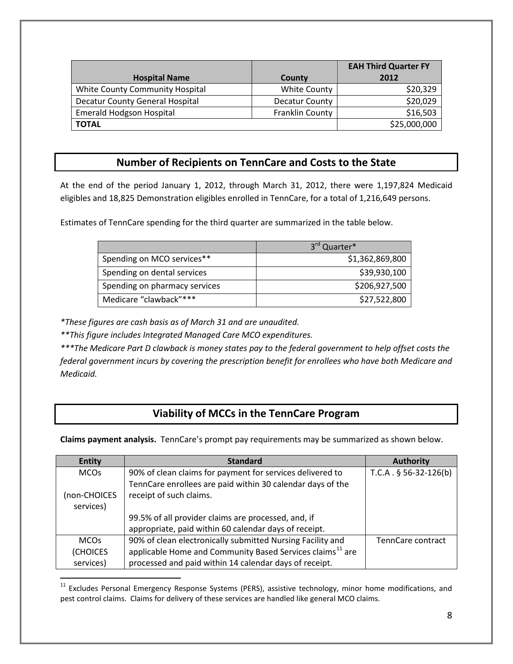|                                 |                       | <b>EAH Third Quarter FY</b> |
|---------------------------------|-----------------------|-----------------------------|
| <b>Hospital Name</b>            | County                | 2012                        |
| White County Community Hospital | White County          | \$20,329                    |
| Decatur County General Hospital | <b>Decatur County</b> | \$20,029                    |
| <b>Emerald Hodgson Hospital</b> | Franklin County       | \$16,503                    |
| <b>TOTAL</b>                    |                       | \$25,000,000                |

## **Number of Recipients on TennCare and Costs to the State**

At the end of the period January 1, 2012, through March 31, 2012, there were 1,197,824 Medicaid eligibles and 18,825 Demonstration eligibles enrolled in TennCare, for a total of 1,216,649 persons.

Estimates of TennCare spending for the third quarter are summarized in the table below.

|                               | 3rd Quarter*    |
|-------------------------------|-----------------|
| Spending on MCO services**    | \$1,362,869,800 |
| Spending on dental services   | \$39,930,100    |
| Spending on pharmacy services | \$206,927,500   |
| Medicare "clawback"***        | \$27,522,800    |

*\*These figures are cash basis as of March 31 and are unaudited.*

*\*\*This figure includes Integrated Managed Care MCO expenditures.*

*\*\*\*The Medicare Part D clawback is money states pay to the federal government to help offset costs the federal government incurs by covering the prescription benefit for enrollees who have both Medicare and Medicaid.*

## **Viability of MCCs in the TennCare Program**

**Claims payment analysis.** TennCare's prompt pay requirements may be summarized as shown below.

| <b>Entity</b> | <b>Standard</b>                                                       | <b>Authority</b>        |
|---------------|-----------------------------------------------------------------------|-------------------------|
| <b>MCOs</b>   | 90% of clean claims for payment for services delivered to             | $T.C.A. § 56-32-126(b)$ |
|               | TennCare enrollees are paid within 30 calendar days of the            |                         |
| (non-CHOICES  | receipt of such claims.                                               |                         |
| services)     |                                                                       |                         |
|               | 99.5% of all provider claims are processed, and, if                   |                         |
|               | appropriate, paid within 60 calendar days of receipt.                 |                         |
| <b>MCOs</b>   | 90% of clean electronically submitted Nursing Facility and            | TennCare contract       |
| (CHOICES      | applicable Home and Community Based Services claims <sup>11</sup> are |                         |
| services)     | processed and paid within 14 calendar days of receipt.                |                         |

<span id="page-7-0"></span><sup>&</sup>lt;sup>11</sup> Excludes Personal Emergency Response Systems (PERS), assistive technology, minor home modifications, and pest control claims. Claims for delivery of these services are handled like general MCO claims.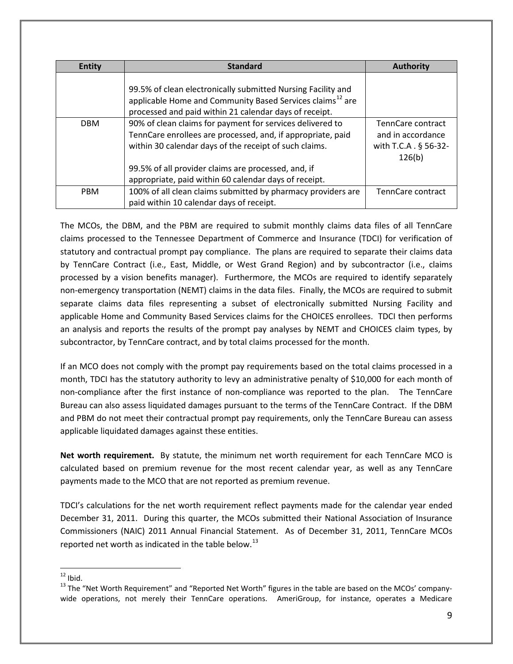| Entity     | <b>Standard</b>                                                                                                                                                                                 | Authority                                                                 |
|------------|-------------------------------------------------------------------------------------------------------------------------------------------------------------------------------------------------|---------------------------------------------------------------------------|
|            | 99.5% of clean electronically submitted Nursing Facility and<br>applicable Home and Community Based Services claims <sup>12</sup> are<br>processed and paid within 21 calendar days of receipt. |                                                                           |
| <b>DBM</b> | 90% of clean claims for payment for services delivered to<br>TennCare enrollees are processed, and, if appropriate, paid<br>within 30 calendar days of the receipt of such claims.              | TennCare contract<br>and in accordance<br>with T.C.A . § 56-32-<br>126(b) |
|            | 99.5% of all provider claims are processed, and, if<br>appropriate, paid within 60 calendar days of receipt.                                                                                    |                                                                           |
| <b>PRM</b> | 100% of all clean claims submitted by pharmacy providers are<br>paid within 10 calendar days of receipt.                                                                                        | TennCare contract                                                         |

The MCOs, the DBM, and the PBM are required to submit monthly claims data files of all TennCare claims processed to the Tennessee Department of Commerce and Insurance (TDCI) for verification of statutory and contractual prompt pay compliance. The plans are required to separate their claims data by TennCare Contract (i.e., East, Middle, or West Grand Region) and by subcontractor (i.e., claims processed by a vision benefits manager). Furthermore, the MCOs are required to identify separately non-emergency transportation (NEMT) claims in the data files. Finally, the MCOs are required to submit separate claims data files representing a subset of electronically submitted Nursing Facility and applicable Home and Community Based Services claims for the CHOICES enrollees. TDCI then performs an analysis and reports the results of the prompt pay analyses by NEMT and CHOICES claim types, by subcontractor, by TennCare contract, and by total claims processed for the month.

If an MCO does not comply with the prompt pay requirements based on the total claims processed in a month, TDCI has the statutory authority to levy an administrative penalty of \$10,000 for each month of non-compliance after the first instance of non-compliance was reported to the plan. The TennCare Bureau can also assess liquidated damages pursuant to the terms of the TennCare Contract. If the DBM and PBM do not meet their contractual prompt pay requirements, only the TennCare Bureau can assess applicable liquidated damages against these entities.

**Net worth requirement.** By statute, the minimum net worth requirement for each TennCare MCO is calculated based on premium revenue for the most recent calendar year, as well as any TennCare payments made to the MCO that are not reported as premium revenue.

TDCI's calculations for the net worth requirement reflect payments made for the calendar year ended December 31, 2011. During this quarter, the MCOs submitted their National Association of Insurance Commissioners (NAIC) 2011 Annual Financial Statement. As of December 31, 2011, TennCare MCOs reported net worth as indicated in the table below.<sup>[13](#page-8-1)</sup>

<span id="page-8-0"></span> $12$  Ibid.

<span id="page-8-1"></span><sup>&</sup>lt;sup>13</sup> The "Net Worth Requirement" and "Reported Net Worth" figures in the table are based on the MCOs' companywide operations, not merely their TennCare operations. AmeriGroup, for instance, operates a Medicare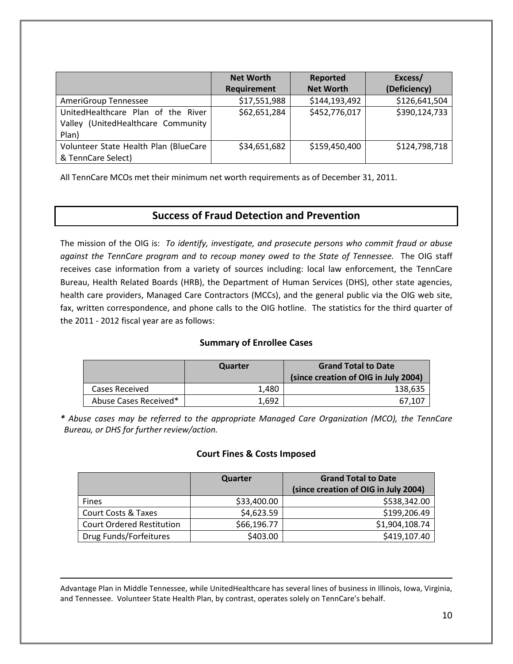|                                                                                   | <b>Net Worth</b><br>Requirement | Reported<br><b>Net Worth</b> | Excess/<br>(Deficiency) |
|-----------------------------------------------------------------------------------|---------------------------------|------------------------------|-------------------------|
| AmeriGroup Tennessee                                                              | \$17,551,988                    | \$144,193,492                | \$126,641,504           |
| UnitedHealthcare Plan of the River<br>Valley (UnitedHealthcare Community<br>Plan) | \$62,651,284                    | \$452,776,017                | \$390,124,733           |
| Volunteer State Health Plan (BlueCare<br>& TennCare Select)                       | \$34,651,682                    | \$159,450,400                | \$124,798,718           |

All TennCare MCOs met their minimum net worth requirements as of December 31, 2011.

## **Success of Fraud Detection and Prevention**

The mission of the OIG is: *To identify, investigate, and prosecute persons who commit fraud or abuse against the TennCare program and to recoup money owed to the State of Tennessee.* The OIG staff receives case information from a variety of sources including: local law enforcement, the TennCare Bureau, Health Related Boards (HRB), the Department of Human Services (DHS), other state agencies, health care providers, Managed Care Contractors (MCCs), and the general public via the OIG web site, fax, written correspondence, and phone calls to the OIG hotline. The statistics for the third quarter of the 2011 - 2012 fiscal year are as follows:

### **Summary of Enrollee Cases**

|                       | Quarter | <b>Grand Total to Date</b><br>(since creation of OIG in July 2004) |
|-----------------------|---------|--------------------------------------------------------------------|
| Cases Received        | 1.480   | 138,635                                                            |
| Abuse Cases Received* | 1.692   | 67.107                                                             |

*\* Abuse cases may be referred to the appropriate Managed Care Organization (MCO), the TennCare Bureau, or DHS for further review/action.*

### **Court Fines & Costs Imposed**

|                                  | Quarter     | <b>Grand Total to Date</b><br>(since creation of OIG in July 2004) |
|----------------------------------|-------------|--------------------------------------------------------------------|
| <b>Fines</b>                     | \$33,400.00 | \$538,342.00                                                       |
| <b>Court Costs &amp; Taxes</b>   | \$4,623.59  | \$199,206.49                                                       |
| <b>Court Ordered Restitution</b> | \$66,196.77 | \$1,904,108.74                                                     |
| Drug Funds/Forfeitures           | \$403.00    | \$419,107.40                                                       |

Advantage Plan in Middle Tennessee, while UnitedHealthcare has several lines of business in Illinois, Iowa, Virginia, and Tennessee. Volunteer State Health Plan, by contrast, operates solely on TennCare's behalf.

 $\overline{a}$